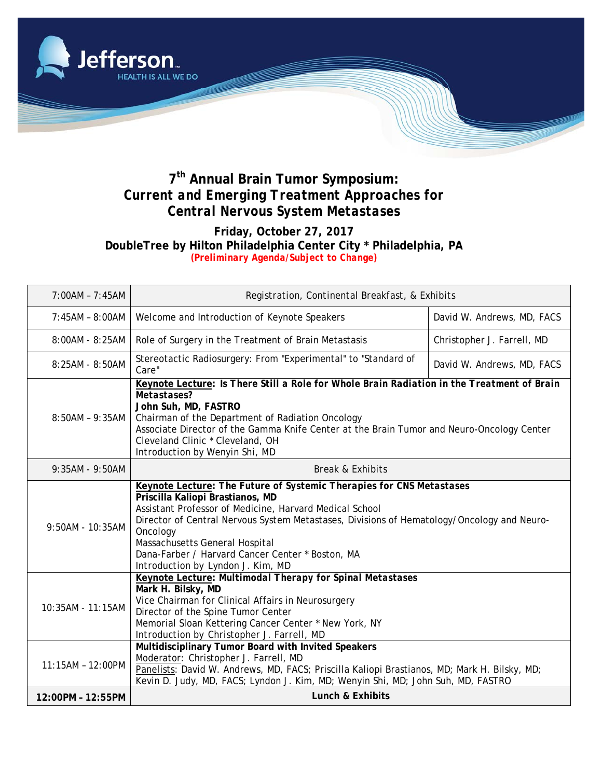

## **7th Annual Brain Tumor Symposium:**  *Current and Emerging Treatment Approaches for Central Nervous System Metastases*

## **Friday, October 27, 2017 DoubleTree by Hilton Philadelphia Center City \* Philadelphia, PA** *(Preliminary Agenda/Subject to Change)*

| 7:00AM - 7:45AM   | Registration, Continental Breakfast, & Exhibits                                                                                                                                                                                                                                                                                                                                                          |                            |  |
|-------------------|----------------------------------------------------------------------------------------------------------------------------------------------------------------------------------------------------------------------------------------------------------------------------------------------------------------------------------------------------------------------------------------------------------|----------------------------|--|
| 7:45AM - 8:00AM   | Welcome and Introduction of Keynote Speakers                                                                                                                                                                                                                                                                                                                                                             | David W. Andrews, MD, FACS |  |
| 8:00AM - 8:25AM   | Role of Surgery in the Treatment of Brain Metastasis                                                                                                                                                                                                                                                                                                                                                     | Christopher J. Farrell, MD |  |
| 8:25AM - 8:50AM   | Stereotactic Radiosurgery: From "Experimental" to "Standard of<br>Care"                                                                                                                                                                                                                                                                                                                                  | David W. Andrews, MD, FACS |  |
| $8:50AM - 9:35AM$ | Keynote Lecture: Is There Still a Role for Whole Brain Radiation in the Treatment of Brain<br>Metastases?<br>John Suh, MD, FASTRO<br>Chairman of the Department of Radiation Oncology<br>Associate Director of the Gamma Knife Center at the Brain Tumor and Neuro-Oncology Center<br>Cleveland Clinic * Cleveland, OH<br>Introduction by Wenyin Shi, MD                                                 |                            |  |
| 9:35AM - 9:50AM   | <b>Break &amp; Exhibits</b>                                                                                                                                                                                                                                                                                                                                                                              |                            |  |
| 9:50AM - 10:35AM  | Keynote Lecture: The Future of Systemic Therapies for CNS Metastases<br>Priscilla Kaliopi Brastianos, MD<br>Assistant Professor of Medicine, Harvard Medical School<br>Director of Central Nervous System Metastases, Divisions of Hematology/Oncology and Neuro-<br>Oncology<br>Massachusetts General Hospital<br>Dana-Farber / Harvard Cancer Center * Boston, MA<br>Introduction by Lyndon J. Kim, MD |                            |  |
| 10:35AM - 11:15AM | Keynote Lecture: Multimodal Therapy for Spinal Metastases<br>Mark H. Bilsky, MD<br>Vice Chairman for Clinical Affairs in Neurosurgery<br>Director of the Spine Tumor Center<br>Memorial Sloan Kettering Cancer Center * New York, NY<br>Introduction by Christopher J. Farrell, MD                                                                                                                       |                            |  |
| 11:15AM - 12:00PM | Multidisciplinary Tumor Board with Invited Speakers<br>Moderator: Christopher J. Farrell, MD<br>Panelists: David W. Andrews, MD, FACS; Priscilla Kaliopi Brastianos, MD; Mark H. Bilsky, MD;<br>Kevin D. Judy, MD, FACS; Lyndon J. Kim, MD; Wenyin Shi, MD; John Suh, MD, FASTRO                                                                                                                         |                            |  |
| 12:00PM - 12:55PM | Lunch & Exhibits                                                                                                                                                                                                                                                                                                                                                                                         |                            |  |